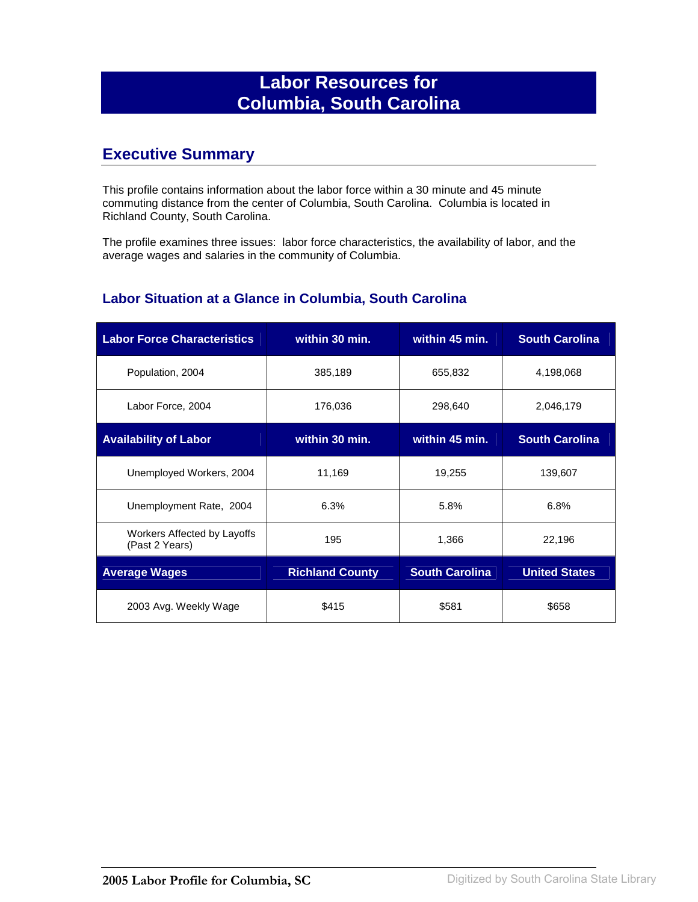# **Labor Resources for Columbia, South Carolina**

## **Executive Summary**

This profile contains information about the labor force within a 30 minute and 45 minute commuting distance from the center of Columbia, South Carolina. Columbia is located in Richland County, South Carolina.

The profile examines three issues: labor force characteristics, the availability of labor, and the average wages and salaries in the community of Columbia.

#### **Labor Situation at a Glance in Columbia, South Carolina**

| <b>Labor Force Characteristics</b>            | within 30 min.         | within 45 min.        | <b>South Carolina</b> |
|-----------------------------------------------|------------------------|-----------------------|-----------------------|
| Population, 2004                              | 385,189                | 655,832               | 4,198,068             |
| Labor Force, 2004                             | 176,036                | 298,640               | 2,046,179             |
| <b>Availability of Labor</b>                  | within 30 min.         | within 45 min.        | <b>South Carolina</b> |
| Unemployed Workers, 2004                      | 11,169                 | 19,255                | 139,607               |
| Unemployment Rate, 2004                       | 6.3%                   | 5.8%                  | 6.8%                  |
| Workers Affected by Layoffs<br>(Past 2 Years) | 195                    | 1,366                 | 22,196                |
| <b>Average Wages</b>                          | <b>Richland County</b> | <b>South Carolina</b> | <b>United States</b>  |
| 2003 Avg. Weekly Wage                         | \$415                  | \$581                 | \$658                 |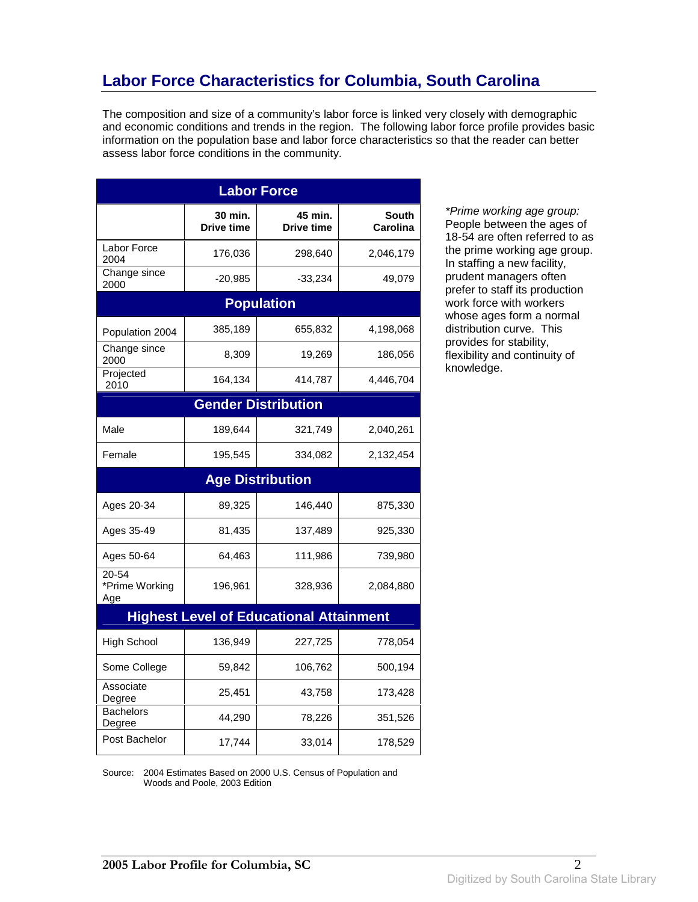# **Labor Force Characteristics for Columbia, South Carolina**

The composition and size of a community's labor force is linked very closely with demographic and economic conditions and trends in the region. The following labor force profile provides basic information on the population base and labor force characteristics so that the reader can better assess labor force conditions in the community.

| <b>Labor Force</b>                 |                              |                                                |                          |  |
|------------------------------------|------------------------------|------------------------------------------------|--------------------------|--|
|                                    | 30 min.<br><b>Drive time</b> | 45 min.<br><b>Drive time</b>                   | <b>South</b><br>Carolina |  |
| Labor Force<br>2004                | 176,036                      | 298,640                                        | 2,046,179                |  |
| Change since<br>2000               | $-20,985$                    | -33,234                                        | 49,079                   |  |
|                                    |                              | <b>Population</b>                              |                          |  |
| Population 2004                    | 385,189                      | 655,832                                        | 4,198,068                |  |
| Change since<br>2000               | 8,309                        | 19,269                                         | 186,056                  |  |
| Projected<br>2010                  | 164,134                      | 414,787                                        | 4,446,704                |  |
|                                    |                              | <b>Gender Distribution</b>                     |                          |  |
| Male                               | 189,644                      | 321,749                                        | 2,040,261                |  |
| Female                             | 195,545                      | 334,082                                        | 2,132,454                |  |
|                                    |                              | <b>Age Distribution</b>                        |                          |  |
| Ages 20-34                         | 89,325                       | 146,440                                        | 875,330                  |  |
| Ages 35-49                         | 81,435                       | 137,489                                        | 925,330                  |  |
| Ages 50-64                         | 64,463                       | 111,986                                        | 739,980                  |  |
| $20 - 54$<br>*Prime Working<br>Age | 196,961                      | 328,936                                        | 2,084,880                |  |
|                                    |                              | <b>Highest Level of Educational Attainment</b> |                          |  |
| <b>High School</b>                 | 136,949                      | 227,725                                        | 778,054                  |  |
| Some College                       | 59,842                       | 106,762                                        | 500,194                  |  |
| Associate<br>Degree                | 25,451                       | 43,758                                         | 173,428                  |  |
| <b>Bachelors</b><br>Degree         | 44,290                       | 78,226                                         | 351,526                  |  |
| Post Bachelor                      | 17,744                       | 33,014                                         | 178,529                  |  |

\*Prime working age group: People between the ages of 18-54 are often referred to as the prime working age group. In staffing a new facility, prudent managers often prefer to staff its production work force with workers whose ages form a normal distribution curve. This provides for stability, flexibility and continuity of knowledge.

Source: 2004 Estimates Based on 2000 U.S. Census of Population and Woods and Poole, 2003 Edition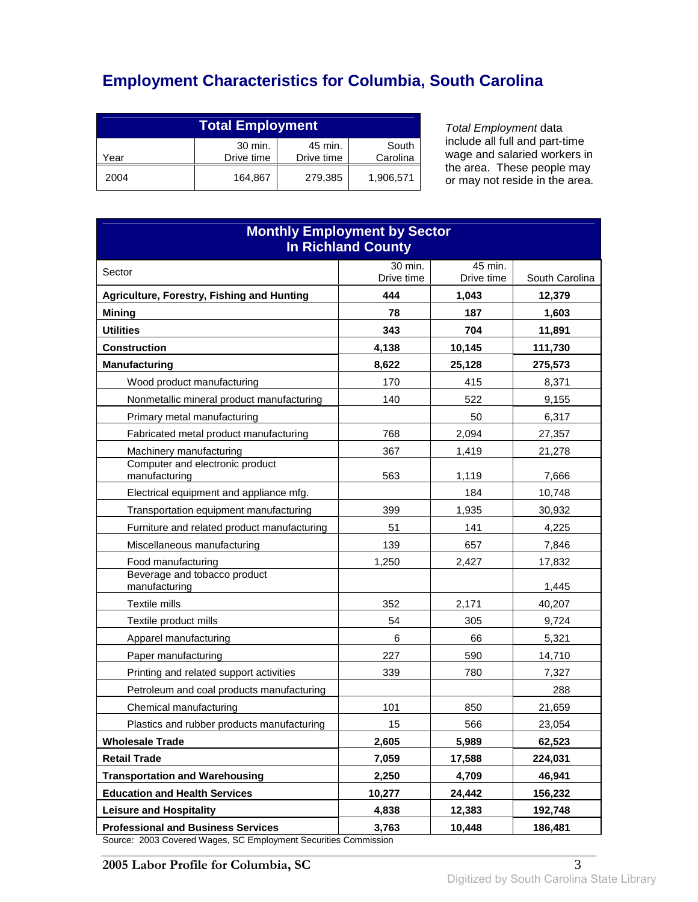# **Employment Characteristics for Columbia, South Carolina**

| <b>Total Employment</b>                                                     |         |         |           |  |
|-----------------------------------------------------------------------------|---------|---------|-----------|--|
| 30 min.<br>South<br>45 min.<br>Drive time<br>Carolina<br>Drive time<br>Year |         |         |           |  |
| 2004                                                                        | 164.867 | 279,385 | 1,906,571 |  |

Total Employment data include all full and part-time wage and salaried workers in the area. These people may or may not reside in the area.

| <b>Monthly Employment by Sector</b><br><b>In Richland County</b>                                                            |                   |            |                 |  |  |
|-----------------------------------------------------------------------------------------------------------------------------|-------------------|------------|-----------------|--|--|
| Sector                                                                                                                      | 30 min.           | 45 min.    |                 |  |  |
|                                                                                                                             | Drive time<br>444 | Drive time | South Carolina  |  |  |
| Agriculture, Forestry, Fishing and Hunting                                                                                  |                   | 1,043      | 12,379          |  |  |
| <b>Mining</b><br><b>Utilities</b>                                                                                           | 78<br>343         | 187<br>704 | 1,603<br>11,891 |  |  |
| <b>Construction</b>                                                                                                         | 4,138             | 10,145     | 111,730         |  |  |
| <b>Manufacturing</b>                                                                                                        | 8,622             | 25,128     | 275,573         |  |  |
| Wood product manufacturing                                                                                                  | 170               | 415        | 8,371           |  |  |
| Nonmetallic mineral product manufacturing                                                                                   | 140               | 522        | 9,155           |  |  |
| Primary metal manufacturing                                                                                                 |                   | 50         | 6,317           |  |  |
| Fabricated metal product manufacturing                                                                                      | 768               | 2,094      | 27,357          |  |  |
| Machinery manufacturing                                                                                                     | 367               | 1,419      | 21,278          |  |  |
| Computer and electronic product<br>manufacturing                                                                            | 563               | 1,119      | 7,666           |  |  |
| Electrical equipment and appliance mfg.                                                                                     |                   | 184        | 10,748          |  |  |
| Transportation equipment manufacturing                                                                                      | 399               | 1,935      | 30,932          |  |  |
| Furniture and related product manufacturing                                                                                 | 51                | 141        | 4,225           |  |  |
| Miscellaneous manufacturing                                                                                                 | 139               | 657        | 7,846           |  |  |
| Food manufacturing                                                                                                          | 1,250             | 2,427      | 17,832          |  |  |
| Beverage and tobacco product<br>manufacturing                                                                               |                   |            | 1,445           |  |  |
| Textile mills                                                                                                               | 352               | 2,171      | 40,207          |  |  |
| Textile product mills                                                                                                       | 54                | 305        | 9,724           |  |  |
| Apparel manufacturing                                                                                                       | 6                 | 66         | 5,321           |  |  |
| Paper manufacturing                                                                                                         | 227               | 590        | 14,710          |  |  |
| Printing and related support activities                                                                                     | 339               | 780        | 7,327           |  |  |
| Petroleum and coal products manufacturing                                                                                   |                   |            | 288             |  |  |
| Chemical manufacturing                                                                                                      | 101               | 850        | 21,659          |  |  |
| Plastics and rubber products manufacturing                                                                                  | 15                | 566        | 23,054          |  |  |
| <b>Wholesale Trade</b>                                                                                                      | 2,605             | 5,989      | 62,523          |  |  |
| <b>Retail Trade</b>                                                                                                         | 7,059             | 17,588     | 224,031         |  |  |
| <b>Transportation and Warehousing</b>                                                                                       | 2,250             | 4,709      | 46,941          |  |  |
| <b>Education and Health Services</b>                                                                                        | 10,277            | 24,442     | 156,232         |  |  |
| <b>Leisure and Hospitality</b>                                                                                              | 4,838             | 12,383     | 192,748         |  |  |
| <b>Professional and Business Services</b><br>10,448<br>186,481<br>3,763<br>2003 Covered Weges, SC Employment Sequrities Co. |                   |            |                 |  |  |

Source: 2003 Covered Wages, SC Employment Securities Commission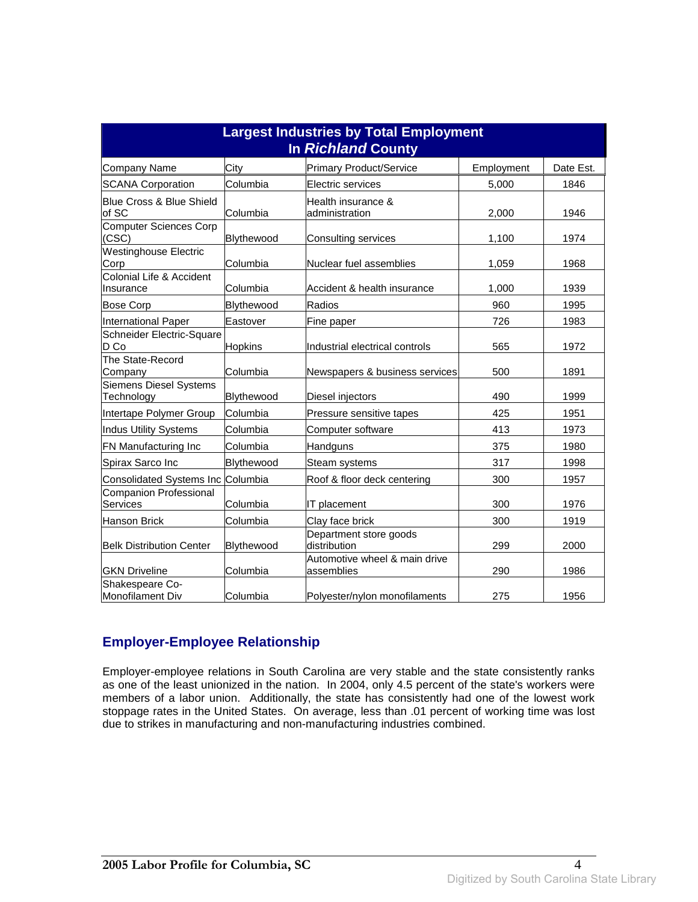| <b>Largest Industries by Total Employment</b><br><b>In Richland County</b> |                |                                             |            |           |  |
|----------------------------------------------------------------------------|----------------|---------------------------------------------|------------|-----------|--|
| <b>Company Name</b>                                                        | City           | <b>Primary Product/Service</b>              | Employment | Date Est. |  |
| <b>SCANA Corporation</b>                                                   | Columbia       | Electric services                           | 5,000      | 1846      |  |
| Blue Cross & Blue Shield<br>of SC                                          | Columbia       | Health insurance &<br>administration        | 2,000      | 1946      |  |
| <b>Computer Sciences Corp</b><br>(CSC)                                     | Blythewood     | Consulting services                         | 1,100      | 1974      |  |
| <b>Westinghouse Electric</b><br>Corp                                       | Columbia       | Nuclear fuel assemblies                     | 1,059      | 1968      |  |
| Colonial Life & Accident<br>Insurance                                      | Columbia       | Accident & health insurance                 | 1,000      | 1939      |  |
| <b>Bose Corp</b>                                                           | Blythewood     | Radios                                      | 960        | 1995      |  |
| <b>International Paper</b>                                                 | Eastover       | Fine paper                                  | 726        | 1983      |  |
| Schneider Electric-Square<br>D Co                                          | <b>Hopkins</b> | Industrial electrical controls              | 565        | 1972      |  |
| The State-Record<br>Company                                                | Columbia       | Newspapers & business services              | 500        | 1891      |  |
| <b>Siemens Diesel Systems</b><br>Technology                                | Blythewood     | Diesel injectors                            | 490        | 1999      |  |
| Intertape Polymer Group                                                    | Columbia       | Pressure sensitive tapes                    | 425        | 1951      |  |
| <b>Indus Utility Systems</b>                                               | Columbia       | Computer software                           | 413        | 1973      |  |
| FN Manufacturing Inc                                                       | Columbia       | Handguns                                    | 375        | 1980      |  |
| Spirax Sarco Inc                                                           | Blythewood     | Steam systems                               | 317        | 1998      |  |
| <b>Consolidated Systems Inc Columbia</b>                                   |                | Roof & floor deck centering                 | 300        | 1957      |  |
| <b>Companion Professional</b><br>Services                                  | Columbia       | IT placement                                | 300        | 1976      |  |
| <b>Hanson Brick</b>                                                        | Columbia       | Clay face brick                             | 300        | 1919      |  |
| <b>Belk Distribution Center</b>                                            | Blythewood     | Department store goods<br>distribution      | 299        | 2000      |  |
| <b>GKN Driveline</b>                                                       | Columbia       | Automotive wheel & main drive<br>assemblies | 290        | 1986      |  |
| Shakespeare Co-<br>Monofilament Div                                        | Columbia       | Polyester/nylon monofilaments               | 275        | 1956      |  |

#### **Employer-Employee Relationship**

Employer-employee relations in South Carolina are very stable and the state consistently ranks as one of the least unionized in the nation. In 2004, only 4.5 percent of the state's workers were members of a labor union. Additionally, the state has consistently had one of the lowest work stoppage rates in the United States. On average, less than .01 percent of working time was lost due to strikes in manufacturing and non-manufacturing industries combined.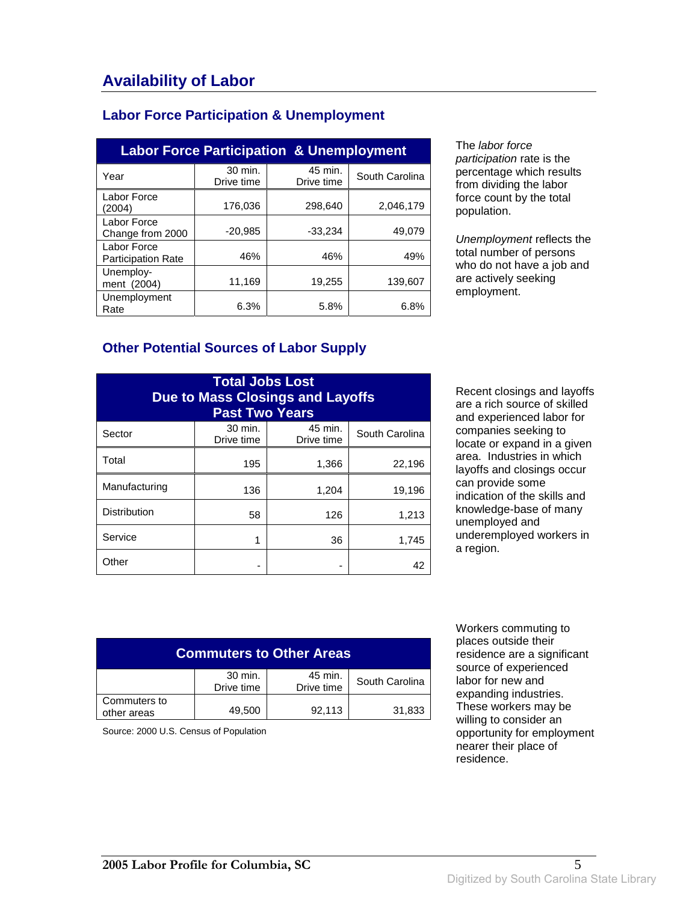| <b>Labor Force Participation &amp; Unemployment</b> |  |
|-----------------------------------------------------|--|
|-----------------------------------------------------|--|

| <b>Labor Force Participation &amp; Unemployment</b> |                       |                       |                |  |
|-----------------------------------------------------|-----------------------|-----------------------|----------------|--|
| Year                                                | 30 min.<br>Drive time | 45 min.<br>Drive time | South Carolina |  |
| Labor Force<br>(2004)                               | 176,036               | 298.640               | 2,046,179      |  |
| Labor Force<br>Change from 2000                     | $-20,985$             | $-33,234$             | 49.079         |  |
| Labor Force<br><b>Participation Rate</b>            | 46%                   | 46%                   | 49%            |  |
| Unemploy-<br>ment (2004)                            | 11,169                | 19,255                | 139.607        |  |
| Unemployment<br>Rate                                | 6.3%                  | 5.8%                  | 6.8%           |  |

The labor force participation rate is the percentage which results from dividing the labor force count by the total population.

Unemployment reflects the total number of persons who do not have a job and are actively seeking employment.

### **Other Potential Sources of Labor Supply**

| <b>Total Jobs Lost</b><br><b>Due to Mass Closings and Layoffs</b><br><b>Past Two Years</b> |                       |                       |                |
|--------------------------------------------------------------------------------------------|-----------------------|-----------------------|----------------|
| Sector                                                                                     | 30 min.<br>Drive time | 45 min.<br>Drive time | South Carolina |
| Total                                                                                      | 195                   | 1,366                 | 22,196         |
| Manufacturing                                                                              | 136                   | 1,204                 | 19,196         |
| <b>Distribution</b>                                                                        | 58                    | 126                   | 1,213          |
| Service                                                                                    | 1                     | 36                    | 1,745          |
| Other                                                                                      |                       |                       | 42             |

Recent closings and layoffs are a rich source of skilled and experienced labor for companies seeking to locate or expand in a given area. Industries in which layoffs and closings occur can provide some indication of the skills and knowledge-base of many unemployed and underemployed workers in a region.

| <b>Commuters to Other Areas</b> |                       |                       |                |
|---------------------------------|-----------------------|-----------------------|----------------|
|                                 | 30 min.<br>Drive time | 45 min.<br>Drive time | South Carolina |
| Commuters to<br>other areas     | 49,500                | 92,113                | 31,833         |

Source: 2000 U.S. Census of Population

 Workers commuting to places outside their residence are a significant source of experienced labor for new and expanding industries. These workers may be willing to consider an opportunity for employment nearer their place of residence.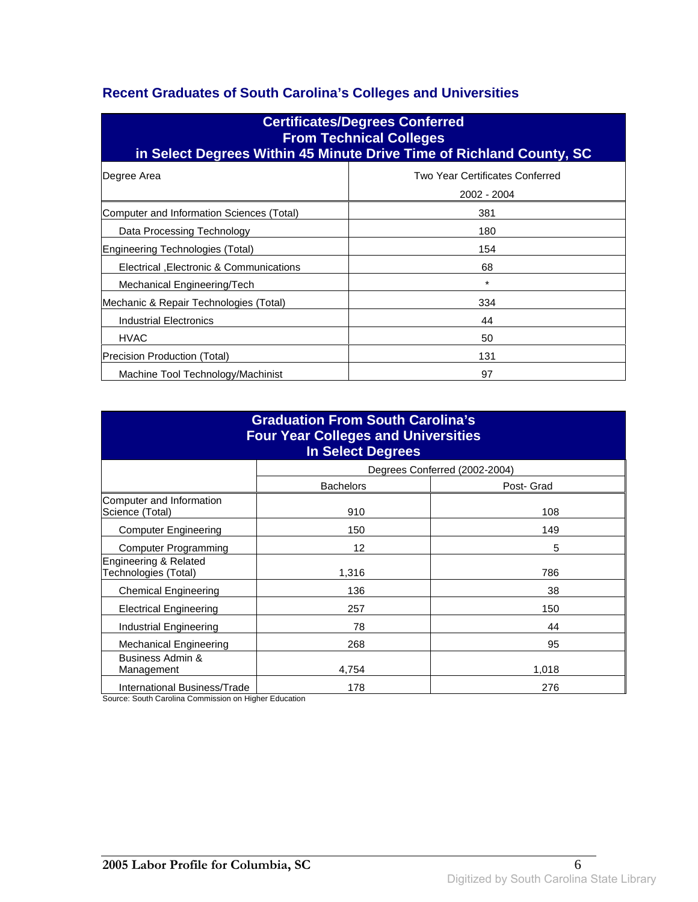### **Recent Graduates of South Carolina's Colleges and Universities**

| <b>Certificates/Degrees Conferred</b><br><b>From Technical Colleges</b><br>in Select Degrees Within 45 Minute Drive Time of Richland County, SC |        |  |
|-------------------------------------------------------------------------------------------------------------------------------------------------|--------|--|
| Two Year Certificates Conferred<br>Degree Area<br>2002 - 2004                                                                                   |        |  |
| Computer and Information Sciences (Total)                                                                                                       | 381    |  |
| Data Processing Technology                                                                                                                      | 180    |  |
| Engineering Technologies (Total)                                                                                                                | 154    |  |
| Electrical , Electronic & Communications                                                                                                        | 68     |  |
| Mechanical Engineering/Tech                                                                                                                     | $\ast$ |  |
| Mechanic & Repair Technologies (Total)                                                                                                          | 334    |  |
| Industrial Electronics                                                                                                                          | 44     |  |
| <b>HVAC</b>                                                                                                                                     | 50     |  |
| Precision Production (Total)                                                                                                                    | 131    |  |
| Machine Tool Technology/Machinist                                                                                                               | 97     |  |

| <b>Graduation From South Carolina's</b><br><b>Four Year Colleges and Universities</b><br><b>In Select Degrees</b> |                  |                               |  |  |
|-------------------------------------------------------------------------------------------------------------------|------------------|-------------------------------|--|--|
|                                                                                                                   |                  | Degrees Conferred (2002-2004) |  |  |
|                                                                                                                   | <b>Bachelors</b> | Post- Grad                    |  |  |
| Computer and Information<br>Science (Total)                                                                       | 910              | 108                           |  |  |
| <b>Computer Engineering</b>                                                                                       | 150              | 149                           |  |  |
| <b>Computer Programming</b>                                                                                       | 12               | 5                             |  |  |
| Engineering & Related<br>Technologies (Total)                                                                     | 1,316            | 786                           |  |  |
| <b>Chemical Engineering</b>                                                                                       | 136              | 38                            |  |  |
| <b>Electrical Engineering</b>                                                                                     | 257              | 150                           |  |  |
| Industrial Engineering                                                                                            | 78               | 44                            |  |  |
| <b>Mechanical Engineering</b>                                                                                     | 268              | 95                            |  |  |
| Business Admin &<br>Management                                                                                    | 4,754            | 1,018                         |  |  |
| International Business/Trade                                                                                      | 178              | 276                           |  |  |

Source: South Carolina Commission on Higher Education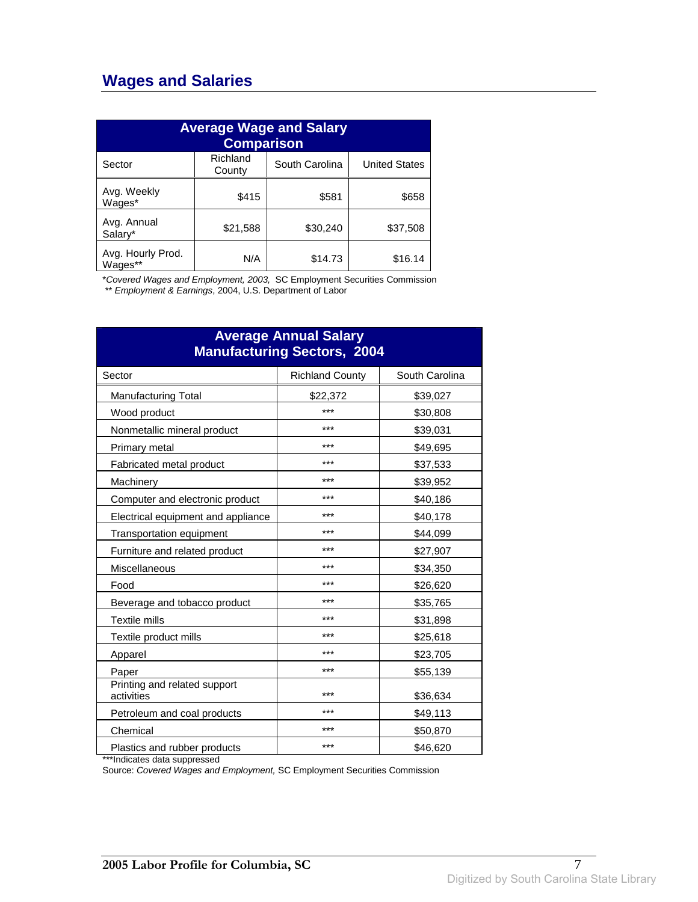## **Wages and Salaries**

| <b>Average Wage and Salary</b><br><b>Comparison</b> |                    |                |                      |
|-----------------------------------------------------|--------------------|----------------|----------------------|
| Sector                                              | Richland<br>County | South Carolina | <b>United States</b> |
| Avg. Weekly<br>Wages*                               | \$415              | \$581          | \$658                |
| Avg. Annual<br>Salary*                              | \$21,588           | \$30,240       | \$37,508             |
| Avg. Hourly Prod.<br>Wages**                        | N/A                | \$14.73        | \$16.14              |

\*Covered Wages and Employment, 2003, SC Employment Securities Commission

\*\* Employment & Earnings, 2004, U.S. Department of Labor

| <b>Average Annual Salary</b><br><b>Manufacturing Sectors, 2004</b> |                        |                |  |
|--------------------------------------------------------------------|------------------------|----------------|--|
| Sector                                                             | <b>Richland County</b> | South Carolina |  |
| <b>Manufacturing Total</b>                                         | \$22,372               | \$39,027       |  |
| Wood product                                                       | ***                    | \$30,808       |  |
| Nonmetallic mineral product                                        | ***                    | \$39,031       |  |
| Primary metal                                                      | ***                    | \$49,695       |  |
| Fabricated metal product                                           | ***                    | \$37,533       |  |
| Machinery                                                          | ***                    | \$39,952       |  |
| Computer and electronic product                                    | ***                    | \$40,186       |  |
| Electrical equipment and appliance                                 | ***                    | \$40,178       |  |
| Transportation equipment                                           | ***                    | \$44,099       |  |
| Furniture and related product                                      | ***                    | \$27,907       |  |
| Miscellaneous                                                      | ***                    | \$34,350       |  |
| Food                                                               | ***                    | \$26,620       |  |
| Beverage and tobacco product                                       | ***                    | \$35,765       |  |
| Textile mills                                                      | ***                    | \$31,898       |  |
| Textile product mills                                              | ***                    | \$25,618       |  |
| Apparel                                                            | ***                    | \$23,705       |  |
| Paper                                                              | ***                    | \$55,139       |  |
| Printing and related support<br>activities                         | ***                    | \$36,634       |  |
| Petroleum and coal products                                        | ***                    | \$49,113       |  |
| Chemical                                                           | ***                    | \$50,870       |  |
| Plastics and rubber products                                       | ***                    | \$46,620       |  |

\*\*\*Indicates data suppressed

Source: Covered Wages and Employment, SC Employment Securities Commission